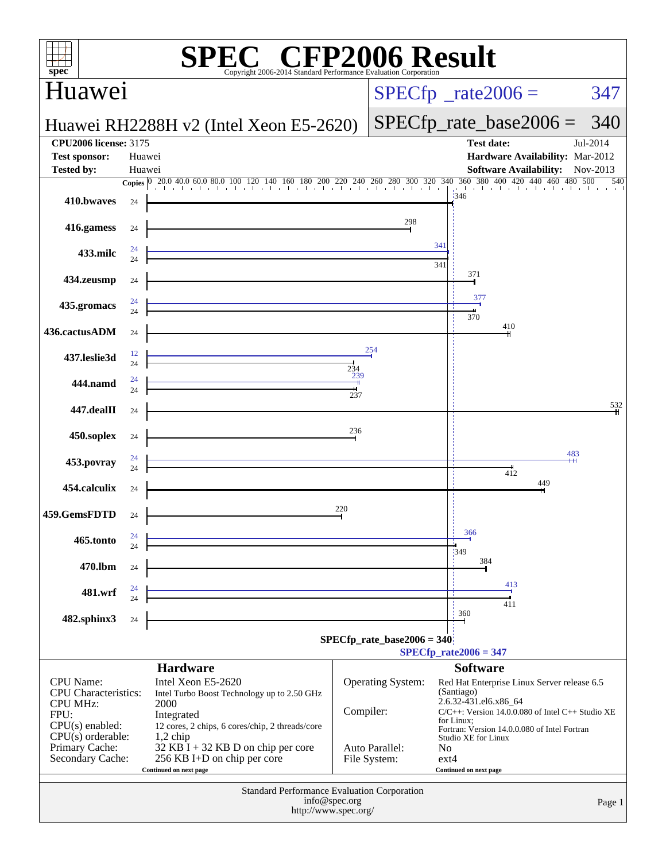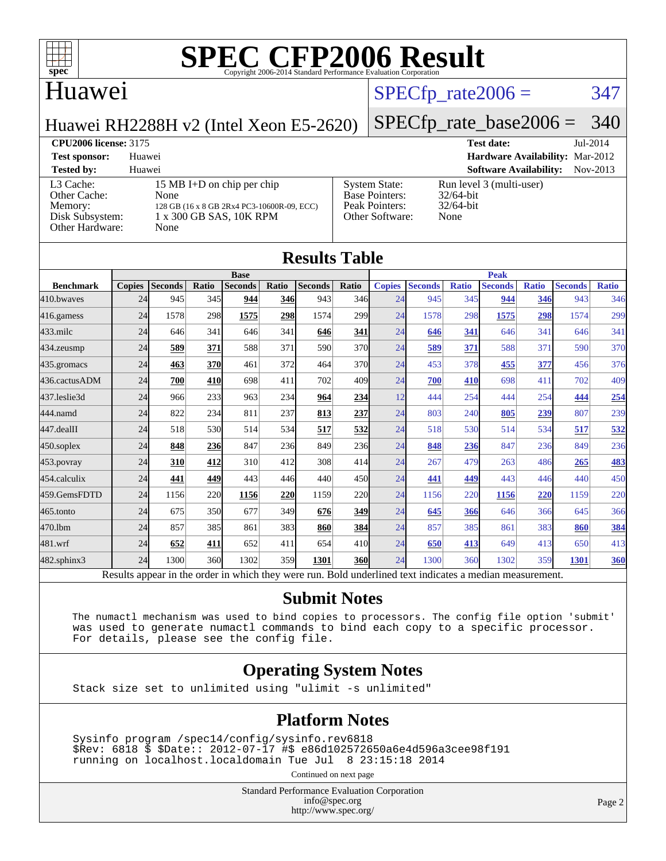

#### Huawei

## $SPECTp_rate2006 = 347$

Huawei RH2288H v2 (Intel Xeon E5-2620)

### [SPECfp\\_rate\\_base2006 =](http://www.spec.org/auto/cpu2006/Docs/result-fields.html#SPECfpratebase2006) 340

**[CPU2006 license:](http://www.spec.org/auto/cpu2006/Docs/result-fields.html#CPU2006license)** 3175 **[Test date:](http://www.spec.org/auto/cpu2006/Docs/result-fields.html#Testdate)** Jul-2014 **[Test sponsor:](http://www.spec.org/auto/cpu2006/Docs/result-fields.html#Testsponsor)** Huawei **[Hardware Availability:](http://www.spec.org/auto/cpu2006/Docs/result-fields.html#HardwareAvailability)** Mar-2012 **[Tested by:](http://www.spec.org/auto/cpu2006/Docs/result-fields.html#Testedby)** Huawei **[Software Availability:](http://www.spec.org/auto/cpu2006/Docs/result-fields.html#SoftwareAvailability)** Nov-2013 [L3 Cache:](http://www.spec.org/auto/cpu2006/Docs/result-fields.html#L3Cache) 15 MB I+D on chip per chip<br>Other Cache: None [Other Cache:](http://www.spec.org/auto/cpu2006/Docs/result-fields.html#OtherCache) [Memory:](http://www.spec.org/auto/cpu2006/Docs/result-fields.html#Memory) 128 GB (16 x 8 GB 2Rx4 PC3-10600R-09, ECC) [Disk Subsystem:](http://www.spec.org/auto/cpu2006/Docs/result-fields.html#DiskSubsystem) 1 x 300 GB SAS, 10K RPM [Other Hardware:](http://www.spec.org/auto/cpu2006/Docs/result-fields.html#OtherHardware) None [System State:](http://www.spec.org/auto/cpu2006/Docs/result-fields.html#SystemState) Run level 3 (multi-user)<br>Base Pointers: 32/64-bit [Base Pointers:](http://www.spec.org/auto/cpu2006/Docs/result-fields.html#BasePointers) [Peak Pointers:](http://www.spec.org/auto/cpu2006/Docs/result-fields.html#PeakPointers) 32/64-bit [Other Software:](http://www.spec.org/auto/cpu2006/Docs/result-fields.html#OtherSoftware) None

|                  |               |                |       | <b>Base</b>    |       | <b>Results Table</b> |            |               |                |              | <b>Peak</b>    |              |                |              |
|------------------|---------------|----------------|-------|----------------|-------|----------------------|------------|---------------|----------------|--------------|----------------|--------------|----------------|--------------|
| <b>Benchmark</b> | <b>Copies</b> | <b>Seconds</b> | Ratio | <b>Seconds</b> | Ratio | <b>Seconds</b>       | Ratio      | <b>Copies</b> | <b>Seconds</b> | <b>Ratio</b> | <b>Seconds</b> | <b>Ratio</b> | <b>Seconds</b> | <b>Ratio</b> |
| 410.bwayes       | 24            | 945            | 345   | 944            | 346   | 943                  | 346        | 24            | 945            | 345          | 944            | 346          | 943            | 346          |
| 416.gamess       | 24            | 1578           | 298   | 1575           | 298   | 1574                 | 299        | 24            | 1578           | 298          | 1575           | 298          | 1574           | 299          |
| $433$ .milc      | 24            | 646            | 341   | 646            | 341   | 646                  | 341        | 24            | 646            | 341          | 646            | 341          | 646            | 341          |
| 434.zeusmp       | 24            | 589            | 371   | 588            | 371   | 590                  | 370        | 24            | 589            | 371          | 588            | 371          | 590            | 370          |
| 435.gromacs      | 24            | 463            | 370   | 461            | 372   | 464                  | 370        | 24            | 453            | 378          | 455            | 377          | 456            | 376          |
| 436.cactusADM    | 24            | 700            | 410   | 698            | 411   | 702                  | 409        | 24            | 700            | 410          | 698            | 411          | 702            | 409          |
| 437.leslie3d     | 24            | 966            | 233   | 963            | 234   | 964                  | 234        | 12            | 444            | 254          | 444            | 254          | 444            | 254          |
| 444.namd         | 24            | 822            | 234   | 811            | 237   | 813                  | 237        | 24            | 803            | 240          | 805            | 239          | 807            | 239          |
| 447.dealII       | 24            | 518            | 530   | 514            | 534   | 517                  | <u>532</u> | 24            | 518            | 530          | 514            | 534          | 517            | 532          |
| $450$ .soplex    | 24            | 848            | 236   | 847            | 236   | 849                  | 236        | 24            | 848            | 236          | 847            | 236          | 849            | 236          |
| 453.povray       | 24            | 310            | 412   | 310            | 412   | 308                  | 414        | 24            | 267            | 479          | 263            | 486          | 265            | <b>483</b>   |
| 454.calculix     | 24            | 441            | 449   | 443            | 446   | 440                  | 450l       | 24            | 441            | 449          | 443            | 446          | 440            | 450          |
| 459.GemsFDTD     | 24            | 1156           | 220   | 1156           | 220   | 1159                 | <b>220</b> | 24            | 1156           | 220          | 1156           | 220          | 1159           | 220          |
| 465.tonto        | 24            | 675            | 350   | 677            | 349   | 676                  | <u>349</u> | 24            | 645            | 366          | 646            | 366          | 645            | 366          |
| 470.1bm          | 24            | 857            | 385   | 861            | 383   | 860                  | 384        | 24            | 857            | 385          | 861            | 383          | 860            | 384          |
| 481.wrf          | 24            | 652            | 411   | 652            | 411   | 654                  | 410        | 24            | 650            | 413          | 649            | 413          | 650            | 413          |
| 482.sphinx3      | 24            | 1300           | 360   | 1302           | 359l  | 1301                 | 360        | 24            | 1300           | 360          | 1302           | 359          | 1301           | 360          |

#### **[Submit Notes](http://www.spec.org/auto/cpu2006/Docs/result-fields.html#SubmitNotes)**

 The numactl mechanism was used to bind copies to processors. The config file option 'submit' was used to generate numactl commands to bind each copy to a specific processor. For details, please see the config file.

#### **[Operating System Notes](http://www.spec.org/auto/cpu2006/Docs/result-fields.html#OperatingSystemNotes)**

Stack size set to unlimited using "ulimit -s unlimited"

#### **[Platform Notes](http://www.spec.org/auto/cpu2006/Docs/result-fields.html#PlatformNotes)**

 Sysinfo program /spec14/config/sysinfo.rev6818 \$Rev: 6818 \$ \$Date:: 2012-07-17 #\$ e86d102572650a6e4d596a3cee98f191 running on localhost.localdomain Tue Jul 8 23:15:18 2014

Continued on next page

Standard Performance Evaluation Corporation [info@spec.org](mailto:info@spec.org) <http://www.spec.org/>

Page 2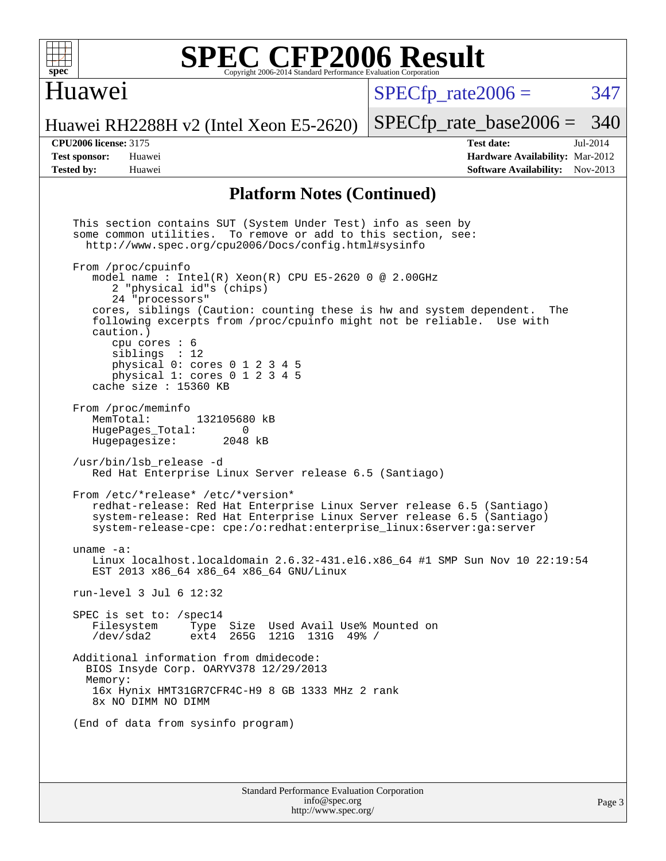

### Huawei

 $SPECTp\_rate2006 = 347$ 

Huawei RH2288H v2 (Intel Xeon E5-2620)

[SPECfp\\_rate\\_base2006 =](http://www.spec.org/auto/cpu2006/Docs/result-fields.html#SPECfpratebase2006) 340

**[CPU2006 license:](http://www.spec.org/auto/cpu2006/Docs/result-fields.html#CPU2006license)** 3175 **[Test date:](http://www.spec.org/auto/cpu2006/Docs/result-fields.html#Testdate)** Jul-2014 **[Test sponsor:](http://www.spec.org/auto/cpu2006/Docs/result-fields.html#Testsponsor)** Huawei **[Hardware Availability:](http://www.spec.org/auto/cpu2006/Docs/result-fields.html#HardwareAvailability)** Mar-2012 **[Tested by:](http://www.spec.org/auto/cpu2006/Docs/result-fields.html#Testedby)** Huawei **[Software Availability:](http://www.spec.org/auto/cpu2006/Docs/result-fields.html#SoftwareAvailability)** Nov-2013

#### **[Platform Notes \(Continued\)](http://www.spec.org/auto/cpu2006/Docs/result-fields.html#PlatformNotes)**

Standard Performance Evaluation Corporation This section contains SUT (System Under Test) info as seen by some common utilities. To remove or add to this section, see: <http://www.spec.org/cpu2006/Docs/config.html#sysinfo> From /proc/cpuinfo model name : Intel(R)  $Xeon(R)$  CPU E5-2620 0 @ 2.00GHz 2 "physical id"s (chips) 24 "processors" cores, siblings (Caution: counting these is hw and system dependent. The following excerpts from /proc/cpuinfo might not be reliable. Use with caution.) cpu cores : 6 siblings : 12 physical 0: cores 0 1 2 3 4 5 physical 1: cores 0 1 2 3 4 5 cache size : 15360 KB From /proc/meminfo<br>MemTotal: 132105680 kB HugePages\_Total: 0<br>Hugepagesize: 2048 kB Hugepagesize: /usr/bin/lsb\_release -d Red Hat Enterprise Linux Server release 6.5 (Santiago) From /etc/\*release\* /etc/\*version\* redhat-release: Red Hat Enterprise Linux Server release 6.5 (Santiago) system-release: Red Hat Enterprise Linux Server release 6.5 (Santiago) system-release-cpe: cpe:/o:redhat:enterprise\_linux:6server:ga:server uname -a: Linux localhost.localdomain 2.6.32-431.el6.x86\_64 #1 SMP Sun Nov 10 22:19:54 EST 2013 x86\_64 x86\_64 x86\_64 GNU/Linux run-level 3 Jul 6 12:32 SPEC is set to: /spec14<br>Filesystem Type Type Size Used Avail Use% Mounted on /dev/sda2 ext4 265G 121G 131G 49% / Additional information from dmidecode: BIOS Insyde Corp. OARYV378 12/29/2013 Memory: 16x Hynix HMT31GR7CFR4C-H9 8 GB 1333 MHz 2 rank 8x NO DIMM NO DIMM (End of data from sysinfo program)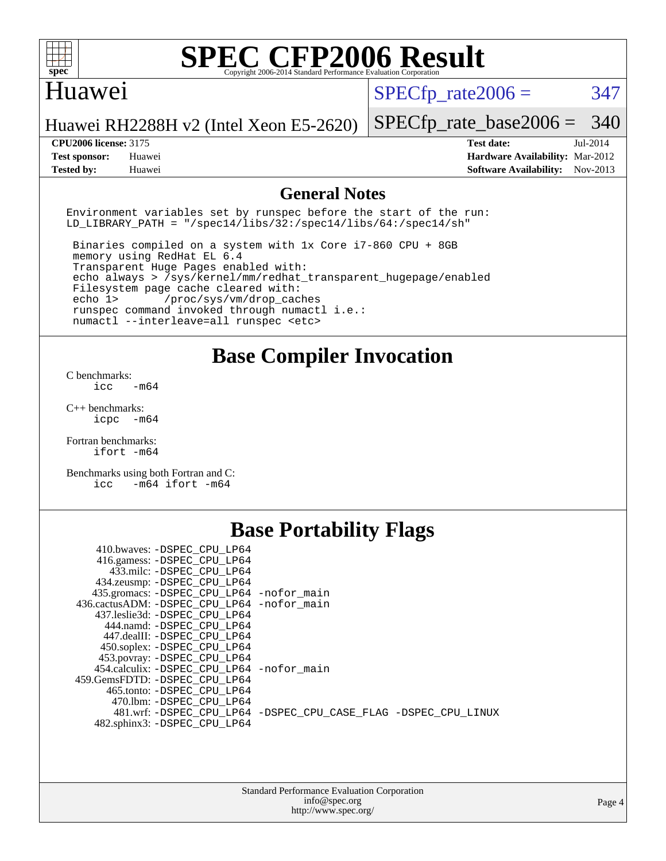

#### Huawei

 $SPECTp\_rate2006 = 347$ 

Huawei RH2288H v2 (Intel Xeon E5-2620)

[SPECfp\\_rate\\_base2006 =](http://www.spec.org/auto/cpu2006/Docs/result-fields.html#SPECfpratebase2006) 340

**[CPU2006 license:](http://www.spec.org/auto/cpu2006/Docs/result-fields.html#CPU2006license)** 3175 **[Test date:](http://www.spec.org/auto/cpu2006/Docs/result-fields.html#Testdate)** Jul-2014 **[Test sponsor:](http://www.spec.org/auto/cpu2006/Docs/result-fields.html#Testsponsor)** Huawei **[Hardware Availability:](http://www.spec.org/auto/cpu2006/Docs/result-fields.html#HardwareAvailability)** Mar-2012 **[Tested by:](http://www.spec.org/auto/cpu2006/Docs/result-fields.html#Testedby)** Huawei **[Software Availability:](http://www.spec.org/auto/cpu2006/Docs/result-fields.html#SoftwareAvailability)** Nov-2013

#### **[General Notes](http://www.spec.org/auto/cpu2006/Docs/result-fields.html#GeneralNotes)**

Environment variables set by runspec before the start of the run: LD LIBRARY PATH = "/spec14/libs/32:/spec14/libs/64:/spec14/sh"

 Binaries compiled on a system with 1x Core i7-860 CPU + 8GB memory using RedHat EL 6.4 Transparent Huge Pages enabled with: echo always > /sys/kernel/mm/redhat\_transparent\_hugepage/enabled Filesystem page cache cleared with: echo 1> /proc/sys/vm/drop\_caches runspec command invoked through numactl i.e.: numactl --interleave=all runspec <etc>

**[Base Compiler Invocation](http://www.spec.org/auto/cpu2006/Docs/result-fields.html#BaseCompilerInvocation)**

[C benchmarks](http://www.spec.org/auto/cpu2006/Docs/result-fields.html#Cbenchmarks):  $\text{icc}$   $-\text{m64}$ 

[C++ benchmarks:](http://www.spec.org/auto/cpu2006/Docs/result-fields.html#CXXbenchmarks) [icpc -m64](http://www.spec.org/cpu2006/results/res2014q3/cpu2006-20140708-30365.flags.html#user_CXXbase_intel_icpc_64bit_bedb90c1146cab66620883ef4f41a67e)

[Fortran benchmarks](http://www.spec.org/auto/cpu2006/Docs/result-fields.html#Fortranbenchmarks): [ifort -m64](http://www.spec.org/cpu2006/results/res2014q3/cpu2006-20140708-30365.flags.html#user_FCbase_intel_ifort_64bit_ee9d0fb25645d0210d97eb0527dcc06e)

[Benchmarks using both Fortran and C](http://www.spec.org/auto/cpu2006/Docs/result-fields.html#BenchmarksusingbothFortranandC): [icc -m64](http://www.spec.org/cpu2006/results/res2014q3/cpu2006-20140708-30365.flags.html#user_CC_FCbase_intel_icc_64bit_0b7121f5ab7cfabee23d88897260401c) [ifort -m64](http://www.spec.org/cpu2006/results/res2014q3/cpu2006-20140708-30365.flags.html#user_CC_FCbase_intel_ifort_64bit_ee9d0fb25645d0210d97eb0527dcc06e)

## **[Base Portability Flags](http://www.spec.org/auto/cpu2006/Docs/result-fields.html#BasePortabilityFlags)**

| 410.bwaves: -DSPEC CPU LP64                 |                                                                |
|---------------------------------------------|----------------------------------------------------------------|
| 416.gamess: -DSPEC_CPU_LP64                 |                                                                |
| 433.milc: -DSPEC_CPU_LP64                   |                                                                |
| 434.zeusmp: - DSPEC_CPU_LP64                |                                                                |
| 435.gromacs: -DSPEC_CPU_LP64 -nofor_main    |                                                                |
| 436.cactusADM: -DSPEC CPU LP64 -nofor main  |                                                                |
| 437.leslie3d: -DSPEC CPU LP64               |                                                                |
| 444.namd: -DSPEC CPU LP64                   |                                                                |
| 447.dealII: -DSPEC CPU LP64                 |                                                                |
| 450.soplex: -DSPEC CPU LP64                 |                                                                |
| 453.povray: -DSPEC_CPU_LP64                 |                                                                |
| 454.calculix: - DSPEC CPU LP64 - nofor main |                                                                |
| 459.GemsFDTD: -DSPEC CPU LP64               |                                                                |
| 465.tonto: -DSPEC CPU LP64                  |                                                                |
| 470.1bm: - DSPEC CPU LP64                   |                                                                |
|                                             | 481.wrf: -DSPEC CPU_LP64 -DSPEC_CPU_CASE_FLAG -DSPEC_CPU_LINUX |
| 482.sphinx3: -DSPEC_CPU_LP64                |                                                                |
|                                             |                                                                |

| <b>Standard Performance Evaluation Corporation</b> |
|----------------------------------------------------|
| info@spec.org                                      |
| http://www.spec.org/                               |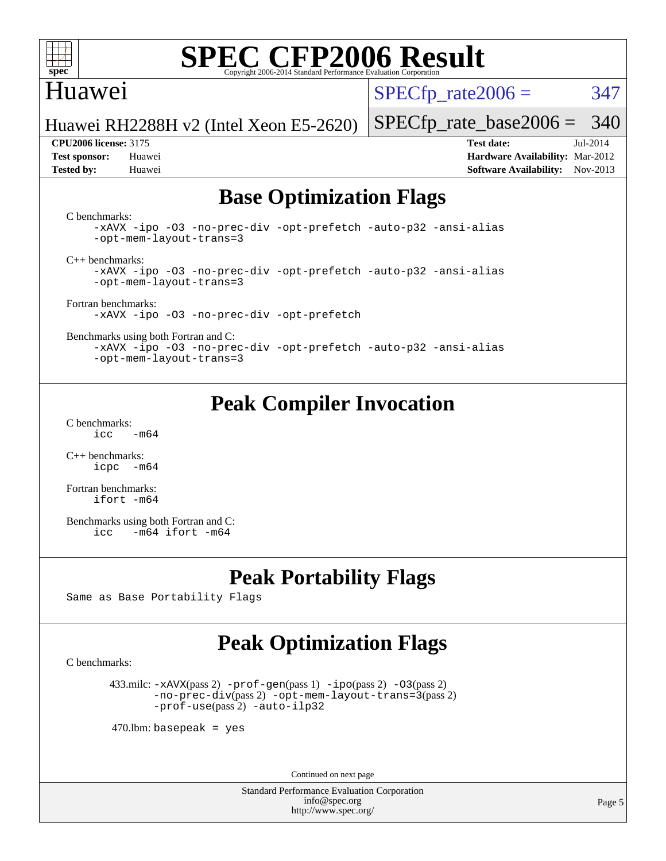

### Huawei

 $SPECTp\_rate2006 = 347$ 

Huawei RH2288H v2 (Intel Xeon E5-2620)

**[Test sponsor:](http://www.spec.org/auto/cpu2006/Docs/result-fields.html#Testsponsor)** Huawei **[Hardware Availability:](http://www.spec.org/auto/cpu2006/Docs/result-fields.html#HardwareAvailability)** Mar-2012 **[Tested by:](http://www.spec.org/auto/cpu2006/Docs/result-fields.html#Testedby)** Huawei **[Software Availability:](http://www.spec.org/auto/cpu2006/Docs/result-fields.html#SoftwareAvailability)** Nov-2013

[SPECfp\\_rate\\_base2006 =](http://www.spec.org/auto/cpu2006/Docs/result-fields.html#SPECfpratebase2006) 340 **[CPU2006 license:](http://www.spec.org/auto/cpu2006/Docs/result-fields.html#CPU2006license)** 3175 **[Test date:](http://www.spec.org/auto/cpu2006/Docs/result-fields.html#Testdate)** Jul-2014

## **[Base Optimization Flags](http://www.spec.org/auto/cpu2006/Docs/result-fields.html#BaseOptimizationFlags)**

[C benchmarks](http://www.spec.org/auto/cpu2006/Docs/result-fields.html#Cbenchmarks):

[-xAVX](http://www.spec.org/cpu2006/results/res2014q3/cpu2006-20140708-30365.flags.html#user_CCbase_f-xAVX) [-ipo](http://www.spec.org/cpu2006/results/res2014q3/cpu2006-20140708-30365.flags.html#user_CCbase_f-ipo) [-O3](http://www.spec.org/cpu2006/results/res2014q3/cpu2006-20140708-30365.flags.html#user_CCbase_f-O3) [-no-prec-div](http://www.spec.org/cpu2006/results/res2014q3/cpu2006-20140708-30365.flags.html#user_CCbase_f-no-prec-div) [-opt-prefetch](http://www.spec.org/cpu2006/results/res2014q3/cpu2006-20140708-30365.flags.html#user_CCbase_f-opt-prefetch) [-auto-p32](http://www.spec.org/cpu2006/results/res2014q3/cpu2006-20140708-30365.flags.html#user_CCbase_f-auto-p32) [-ansi-alias](http://www.spec.org/cpu2006/results/res2014q3/cpu2006-20140708-30365.flags.html#user_CCbase_f-ansi-alias) [-opt-mem-layout-trans=3](http://www.spec.org/cpu2006/results/res2014q3/cpu2006-20140708-30365.flags.html#user_CCbase_f-opt-mem-layout-trans_a7b82ad4bd7abf52556d4961a2ae94d5)

[C++ benchmarks:](http://www.spec.org/auto/cpu2006/Docs/result-fields.html#CXXbenchmarks)

[-xAVX](http://www.spec.org/cpu2006/results/res2014q3/cpu2006-20140708-30365.flags.html#user_CXXbase_f-xAVX) [-ipo](http://www.spec.org/cpu2006/results/res2014q3/cpu2006-20140708-30365.flags.html#user_CXXbase_f-ipo) [-O3](http://www.spec.org/cpu2006/results/res2014q3/cpu2006-20140708-30365.flags.html#user_CXXbase_f-O3) [-no-prec-div](http://www.spec.org/cpu2006/results/res2014q3/cpu2006-20140708-30365.flags.html#user_CXXbase_f-no-prec-div) [-opt-prefetch](http://www.spec.org/cpu2006/results/res2014q3/cpu2006-20140708-30365.flags.html#user_CXXbase_f-opt-prefetch) [-auto-p32](http://www.spec.org/cpu2006/results/res2014q3/cpu2006-20140708-30365.flags.html#user_CXXbase_f-auto-p32) [-ansi-alias](http://www.spec.org/cpu2006/results/res2014q3/cpu2006-20140708-30365.flags.html#user_CXXbase_f-ansi-alias) [-opt-mem-layout-trans=3](http://www.spec.org/cpu2006/results/res2014q3/cpu2006-20140708-30365.flags.html#user_CXXbase_f-opt-mem-layout-trans_a7b82ad4bd7abf52556d4961a2ae94d5)

[Fortran benchmarks](http://www.spec.org/auto/cpu2006/Docs/result-fields.html#Fortranbenchmarks): [-xAVX](http://www.spec.org/cpu2006/results/res2014q3/cpu2006-20140708-30365.flags.html#user_FCbase_f-xAVX) [-ipo](http://www.spec.org/cpu2006/results/res2014q3/cpu2006-20140708-30365.flags.html#user_FCbase_f-ipo) [-O3](http://www.spec.org/cpu2006/results/res2014q3/cpu2006-20140708-30365.flags.html#user_FCbase_f-O3) [-no-prec-div](http://www.spec.org/cpu2006/results/res2014q3/cpu2006-20140708-30365.flags.html#user_FCbase_f-no-prec-div) [-opt-prefetch](http://www.spec.org/cpu2006/results/res2014q3/cpu2006-20140708-30365.flags.html#user_FCbase_f-opt-prefetch)

[Benchmarks using both Fortran and C](http://www.spec.org/auto/cpu2006/Docs/result-fields.html#BenchmarksusingbothFortranandC):

[-xAVX](http://www.spec.org/cpu2006/results/res2014q3/cpu2006-20140708-30365.flags.html#user_CC_FCbase_f-xAVX) [-ipo](http://www.spec.org/cpu2006/results/res2014q3/cpu2006-20140708-30365.flags.html#user_CC_FCbase_f-ipo) [-O3](http://www.spec.org/cpu2006/results/res2014q3/cpu2006-20140708-30365.flags.html#user_CC_FCbase_f-O3) [-no-prec-div](http://www.spec.org/cpu2006/results/res2014q3/cpu2006-20140708-30365.flags.html#user_CC_FCbase_f-no-prec-div) [-opt-prefetch](http://www.spec.org/cpu2006/results/res2014q3/cpu2006-20140708-30365.flags.html#user_CC_FCbase_f-opt-prefetch) [-auto-p32](http://www.spec.org/cpu2006/results/res2014q3/cpu2006-20140708-30365.flags.html#user_CC_FCbase_f-auto-p32) [-ansi-alias](http://www.spec.org/cpu2006/results/res2014q3/cpu2006-20140708-30365.flags.html#user_CC_FCbase_f-ansi-alias) [-opt-mem-layout-trans=3](http://www.spec.org/cpu2006/results/res2014q3/cpu2006-20140708-30365.flags.html#user_CC_FCbase_f-opt-mem-layout-trans_a7b82ad4bd7abf52556d4961a2ae94d5)

## **[Peak Compiler Invocation](http://www.spec.org/auto/cpu2006/Docs/result-fields.html#PeakCompilerInvocation)**

[C benchmarks](http://www.spec.org/auto/cpu2006/Docs/result-fields.html#Cbenchmarks):  $\text{icc}$  -m64

[C++ benchmarks:](http://www.spec.org/auto/cpu2006/Docs/result-fields.html#CXXbenchmarks) [icpc -m64](http://www.spec.org/cpu2006/results/res2014q3/cpu2006-20140708-30365.flags.html#user_CXXpeak_intel_icpc_64bit_bedb90c1146cab66620883ef4f41a67e)

[Fortran benchmarks](http://www.spec.org/auto/cpu2006/Docs/result-fields.html#Fortranbenchmarks): [ifort -m64](http://www.spec.org/cpu2006/results/res2014q3/cpu2006-20140708-30365.flags.html#user_FCpeak_intel_ifort_64bit_ee9d0fb25645d0210d97eb0527dcc06e)

[Benchmarks using both Fortran and C](http://www.spec.org/auto/cpu2006/Docs/result-fields.html#BenchmarksusingbothFortranandC): [icc -m64](http://www.spec.org/cpu2006/results/res2014q3/cpu2006-20140708-30365.flags.html#user_CC_FCpeak_intel_icc_64bit_0b7121f5ab7cfabee23d88897260401c) [ifort -m64](http://www.spec.org/cpu2006/results/res2014q3/cpu2006-20140708-30365.flags.html#user_CC_FCpeak_intel_ifort_64bit_ee9d0fb25645d0210d97eb0527dcc06e)

### **[Peak Portability Flags](http://www.spec.org/auto/cpu2006/Docs/result-fields.html#PeakPortabilityFlags)**

Same as Base Portability Flags

## **[Peak Optimization Flags](http://www.spec.org/auto/cpu2006/Docs/result-fields.html#PeakOptimizationFlags)**

[C benchmarks](http://www.spec.org/auto/cpu2006/Docs/result-fields.html#Cbenchmarks):

 433.milc: [-xAVX](http://www.spec.org/cpu2006/results/res2014q3/cpu2006-20140708-30365.flags.html#user_peakPASS2_CFLAGSPASS2_LDFLAGS433_milc_f-xAVX)(pass 2) [-prof-gen](http://www.spec.org/cpu2006/results/res2014q3/cpu2006-20140708-30365.flags.html#user_peakPASS1_CFLAGSPASS1_LDFLAGS433_milc_prof_gen_e43856698f6ca7b7e442dfd80e94a8fc)(pass 1) [-ipo](http://www.spec.org/cpu2006/results/res2014q3/cpu2006-20140708-30365.flags.html#user_peakPASS2_CFLAGSPASS2_LDFLAGS433_milc_f-ipo)(pass 2) [-O3](http://www.spec.org/cpu2006/results/res2014q3/cpu2006-20140708-30365.flags.html#user_peakPASS2_CFLAGSPASS2_LDFLAGS433_milc_f-O3)(pass 2) [-no-prec-div](http://www.spec.org/cpu2006/results/res2014q3/cpu2006-20140708-30365.flags.html#user_peakPASS2_CFLAGSPASS2_LDFLAGS433_milc_f-no-prec-div)(pass 2) [-opt-mem-layout-trans=3](http://www.spec.org/cpu2006/results/res2014q3/cpu2006-20140708-30365.flags.html#user_peakPASS2_CFLAGS433_milc_f-opt-mem-layout-trans_a7b82ad4bd7abf52556d4961a2ae94d5)(pass 2) [-prof-use](http://www.spec.org/cpu2006/results/res2014q3/cpu2006-20140708-30365.flags.html#user_peakPASS2_CFLAGSPASS2_LDFLAGS433_milc_prof_use_bccf7792157ff70d64e32fe3e1250b55)(pass 2) [-auto-ilp32](http://www.spec.org/cpu2006/results/res2014q3/cpu2006-20140708-30365.flags.html#user_peakCOPTIMIZE433_milc_f-auto-ilp32)

 $470$ .lbm: basepeak = yes

Continued on next page

Standard Performance Evaluation Corporation [info@spec.org](mailto:info@spec.org) <http://www.spec.org/>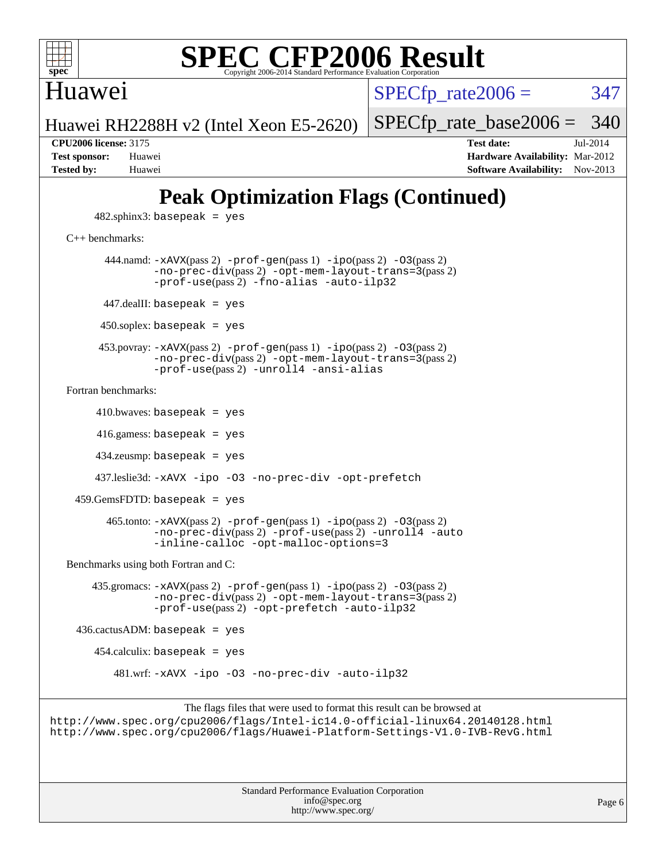

### Huawei

 $SPECTp\_rate2006 = 347$ 

Huawei RH2288H v2 (Intel Xeon E5-2620)

[SPECfp\\_rate\\_base2006 =](http://www.spec.org/auto/cpu2006/Docs/result-fields.html#SPECfpratebase2006) 340

**[CPU2006 license:](http://www.spec.org/auto/cpu2006/Docs/result-fields.html#CPU2006license)** 3175 **[Test date:](http://www.spec.org/auto/cpu2006/Docs/result-fields.html#Testdate)** Jul-2014 **[Test sponsor:](http://www.spec.org/auto/cpu2006/Docs/result-fields.html#Testsponsor)** Huawei **[Hardware Availability:](http://www.spec.org/auto/cpu2006/Docs/result-fields.html#HardwareAvailability)** Mar-2012 **[Tested by:](http://www.spec.org/auto/cpu2006/Docs/result-fields.html#Testedby)** Huawei **[Software Availability:](http://www.spec.org/auto/cpu2006/Docs/result-fields.html#SoftwareAvailability)** Nov-2013

## **[Peak Optimization Flags \(Continued\)](http://www.spec.org/auto/cpu2006/Docs/result-fields.html#PeakOptimizationFlags)**

 $482$ .sphinx $3$ : basepeak = yes

[C++ benchmarks:](http://www.spec.org/auto/cpu2006/Docs/result-fields.html#CXXbenchmarks)

444.namd:  $-x$ AVX(pass 2)  $-p$ rof-gen(pass 1)  $-p$ ipo(pass 2)  $-03$ (pass 2) [-no-prec-div](http://www.spec.org/cpu2006/results/res2014q3/cpu2006-20140708-30365.flags.html#user_peakPASS2_CXXFLAGSPASS2_LDFLAGS444_namd_f-no-prec-div)(pass 2) [-opt-mem-layout-trans=3](http://www.spec.org/cpu2006/results/res2014q3/cpu2006-20140708-30365.flags.html#user_peakPASS2_CXXFLAGS444_namd_f-opt-mem-layout-trans_a7b82ad4bd7abf52556d4961a2ae94d5)(pass 2) [-prof-use](http://www.spec.org/cpu2006/results/res2014q3/cpu2006-20140708-30365.flags.html#user_peakPASS2_CXXFLAGSPASS2_LDFLAGS444_namd_prof_use_bccf7792157ff70d64e32fe3e1250b55)(pass 2) [-fno-alias](http://www.spec.org/cpu2006/results/res2014q3/cpu2006-20140708-30365.flags.html#user_peakCXXOPTIMIZE444_namd_f-no-alias_694e77f6c5a51e658e82ccff53a9e63a) [-auto-ilp32](http://www.spec.org/cpu2006/results/res2014q3/cpu2006-20140708-30365.flags.html#user_peakCXXOPTIMIZE444_namd_f-auto-ilp32)  $447$ .dealII: basepeak = yes 450.soplex: basepeak = yes 453.povray: [-xAVX](http://www.spec.org/cpu2006/results/res2014q3/cpu2006-20140708-30365.flags.html#user_peakPASS2_CXXFLAGSPASS2_LDFLAGS453_povray_f-xAVX)(pass 2) [-prof-gen](http://www.spec.org/cpu2006/results/res2014q3/cpu2006-20140708-30365.flags.html#user_peakPASS1_CXXFLAGSPASS1_LDFLAGS453_povray_prof_gen_e43856698f6ca7b7e442dfd80e94a8fc)(pass 1) [-ipo](http://www.spec.org/cpu2006/results/res2014q3/cpu2006-20140708-30365.flags.html#user_peakPASS2_CXXFLAGSPASS2_LDFLAGS453_povray_f-ipo)(pass 2) [-O3](http://www.spec.org/cpu2006/results/res2014q3/cpu2006-20140708-30365.flags.html#user_peakPASS2_CXXFLAGSPASS2_LDFLAGS453_povray_f-O3)(pass 2) [-no-prec-div](http://www.spec.org/cpu2006/results/res2014q3/cpu2006-20140708-30365.flags.html#user_peakPASS2_CXXFLAGSPASS2_LDFLAGS453_povray_f-no-prec-div)(pass 2) [-opt-mem-layout-trans=3](http://www.spec.org/cpu2006/results/res2014q3/cpu2006-20140708-30365.flags.html#user_peakPASS2_CXXFLAGS453_povray_f-opt-mem-layout-trans_a7b82ad4bd7abf52556d4961a2ae94d5)(pass 2) [-prof-use](http://www.spec.org/cpu2006/results/res2014q3/cpu2006-20140708-30365.flags.html#user_peakPASS2_CXXFLAGSPASS2_LDFLAGS453_povray_prof_use_bccf7792157ff70d64e32fe3e1250b55)(pass 2) [-unroll4](http://www.spec.org/cpu2006/results/res2014q3/cpu2006-20140708-30365.flags.html#user_peakCXXOPTIMIZE453_povray_f-unroll_4e5e4ed65b7fd20bdcd365bec371b81f) [-ansi-alias](http://www.spec.org/cpu2006/results/res2014q3/cpu2006-20140708-30365.flags.html#user_peakCXXOPTIMIZE453_povray_f-ansi-alias) [Fortran benchmarks](http://www.spec.org/auto/cpu2006/Docs/result-fields.html#Fortranbenchmarks):  $410.bwaves: basepeak = yes$ 

 416.gamess: basepeak = yes 434.zeusmp: basepeak = yes

437.leslie3d: [-xAVX](http://www.spec.org/cpu2006/results/res2014q3/cpu2006-20140708-30365.flags.html#user_peakOPTIMIZE437_leslie3d_f-xAVX) [-ipo](http://www.spec.org/cpu2006/results/res2014q3/cpu2006-20140708-30365.flags.html#user_peakOPTIMIZE437_leslie3d_f-ipo) [-O3](http://www.spec.org/cpu2006/results/res2014q3/cpu2006-20140708-30365.flags.html#user_peakOPTIMIZE437_leslie3d_f-O3) [-no-prec-div](http://www.spec.org/cpu2006/results/res2014q3/cpu2006-20140708-30365.flags.html#user_peakOPTIMIZE437_leslie3d_f-no-prec-div) [-opt-prefetch](http://www.spec.org/cpu2006/results/res2014q3/cpu2006-20140708-30365.flags.html#user_peakOPTIMIZE437_leslie3d_f-opt-prefetch)

 $459.GemsFDTD: basepeak = yes$ 

```
 465.tonto: -xAVX(pass 2) -prof-gen(pass 1) -ipo(pass 2) -O3(pass 2)
-no-prec-div-prof-use-unroll4-auto
-inline-calloc -opt-malloc-options=3
```
[Benchmarks using both Fortran and C](http://www.spec.org/auto/cpu2006/Docs/result-fields.html#BenchmarksusingbothFortranandC):

 435.gromacs: [-xAVX](http://www.spec.org/cpu2006/results/res2014q3/cpu2006-20140708-30365.flags.html#user_peakPASS2_CFLAGSPASS2_FFLAGSPASS2_LDFLAGS435_gromacs_f-xAVX)(pass 2) [-prof-gen](http://www.spec.org/cpu2006/results/res2014q3/cpu2006-20140708-30365.flags.html#user_peakPASS1_CFLAGSPASS1_FFLAGSPASS1_LDFLAGS435_gromacs_prof_gen_e43856698f6ca7b7e442dfd80e94a8fc)(pass 1) [-ipo](http://www.spec.org/cpu2006/results/res2014q3/cpu2006-20140708-30365.flags.html#user_peakPASS2_CFLAGSPASS2_FFLAGSPASS2_LDFLAGS435_gromacs_f-ipo)(pass 2) [-O3](http://www.spec.org/cpu2006/results/res2014q3/cpu2006-20140708-30365.flags.html#user_peakPASS2_CFLAGSPASS2_FFLAGSPASS2_LDFLAGS435_gromacs_f-O3)(pass 2) [-no-prec-div](http://www.spec.org/cpu2006/results/res2014q3/cpu2006-20140708-30365.flags.html#user_peakPASS2_CFLAGSPASS2_FFLAGSPASS2_LDFLAGS435_gromacs_f-no-prec-div)(pass 2) [-opt-mem-layout-trans=3](http://www.spec.org/cpu2006/results/res2014q3/cpu2006-20140708-30365.flags.html#user_peakPASS2_CFLAGS435_gromacs_f-opt-mem-layout-trans_a7b82ad4bd7abf52556d4961a2ae94d5)(pass 2) [-prof-use](http://www.spec.org/cpu2006/results/res2014q3/cpu2006-20140708-30365.flags.html#user_peakPASS2_CFLAGSPASS2_FFLAGSPASS2_LDFLAGS435_gromacs_prof_use_bccf7792157ff70d64e32fe3e1250b55)(pass 2) [-opt-prefetch](http://www.spec.org/cpu2006/results/res2014q3/cpu2006-20140708-30365.flags.html#user_peakOPTIMIZE435_gromacs_f-opt-prefetch) [-auto-ilp32](http://www.spec.org/cpu2006/results/res2014q3/cpu2006-20140708-30365.flags.html#user_peakCOPTIMIZE435_gromacs_f-auto-ilp32)

```
436.cactusADM: basepeak = yes
```
454.calculix: basepeak = yes

481.wrf: [-xAVX](http://www.spec.org/cpu2006/results/res2014q3/cpu2006-20140708-30365.flags.html#user_peakOPTIMIZE481_wrf_f-xAVX) [-ipo](http://www.spec.org/cpu2006/results/res2014q3/cpu2006-20140708-30365.flags.html#user_peakOPTIMIZE481_wrf_f-ipo) [-O3](http://www.spec.org/cpu2006/results/res2014q3/cpu2006-20140708-30365.flags.html#user_peakOPTIMIZE481_wrf_f-O3) [-no-prec-div](http://www.spec.org/cpu2006/results/res2014q3/cpu2006-20140708-30365.flags.html#user_peakOPTIMIZE481_wrf_f-no-prec-div) [-auto-ilp32](http://www.spec.org/cpu2006/results/res2014q3/cpu2006-20140708-30365.flags.html#user_peakCOPTIMIZE481_wrf_f-auto-ilp32)

The flags files that were used to format this result can be browsed at <http://www.spec.org/cpu2006/flags/Intel-ic14.0-official-linux64.20140128.html> <http://www.spec.org/cpu2006/flags/Huawei-Platform-Settings-V1.0-IVB-RevG.html>

> Standard Performance Evaluation Corporation [info@spec.org](mailto:info@spec.org) <http://www.spec.org/>